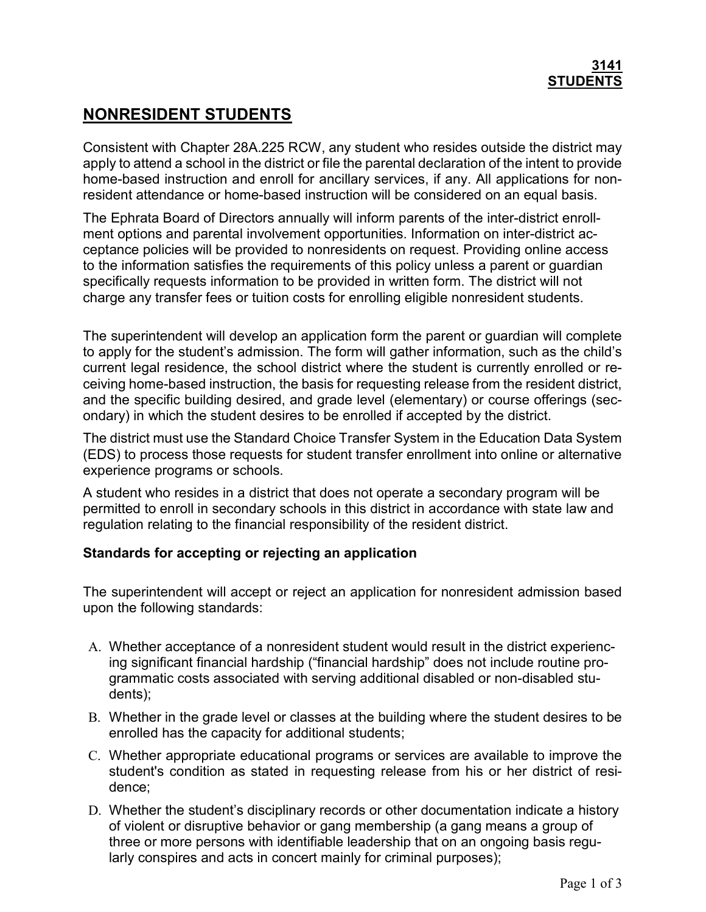## 3141 **STUDENTS**

# NONRESIDENT STUDENTS

Consistent with Chapter 28A.225 RCW, any student who resides outside the district may apply to attend a school in the district or file the parental declaration of the intent to provide home-based instruction and enroll for ancillary services, if any. All applications for nonresident attendance or home-based instruction will be considered on an equal basis.

The Ephrata Board of Directors annually will inform parents of the inter-district enrollment options and parental involvement opportunities. Information on inter-district acceptance policies will be provided to nonresidents on request. Providing online access to the information satisfies the requirements of this policy unless a parent or guardian specifically requests information to be provided in written form. The district will not charge any transfer fees or tuition costs for enrolling eligible nonresident students.

The superintendent will develop an application form the parent or guardian will complete to apply for the student's admission. The form will gather information, such as the child's current legal residence, the school district where the student is currently enrolled or receiving home-based instruction, the basis for requesting release from the resident district, and the specific building desired, and grade level (elementary) or course offerings (secondary) in which the student desires to be enrolled if accepted by the district.

The district must use the Standard Choice Transfer System in the Education Data System (EDS) to process those requests for student transfer enrollment into online or alternative experience programs or schools.

A student who resides in a district that does not operate a secondary program will be permitted to enroll in secondary schools in this district in accordance with state law and regulation relating to the financial responsibility of the resident district.

## Standards for accepting or rejecting an application

The superintendent will accept or reject an application for nonresident admission based upon the following standards:

- A. Whether acceptance of a nonresident student would result in the district experiencing significant financial hardship ("financial hardship" does not include routine programmatic costs associated with serving additional disabled or non-disabled students);
- B. Whether in the grade level or classes at the building where the student desires to be enrolled has the capacity for additional students;
- C. Whether appropriate educational programs or services are available to improve the student's condition as stated in requesting release from his or her district of residence;
- D. Whether the student's disciplinary records or other documentation indicate a history of violent or disruptive behavior or gang membership (a gang means a group of three or more persons with identifiable leadership that on an ongoing basis regularly conspires and acts in concert mainly for criminal purposes);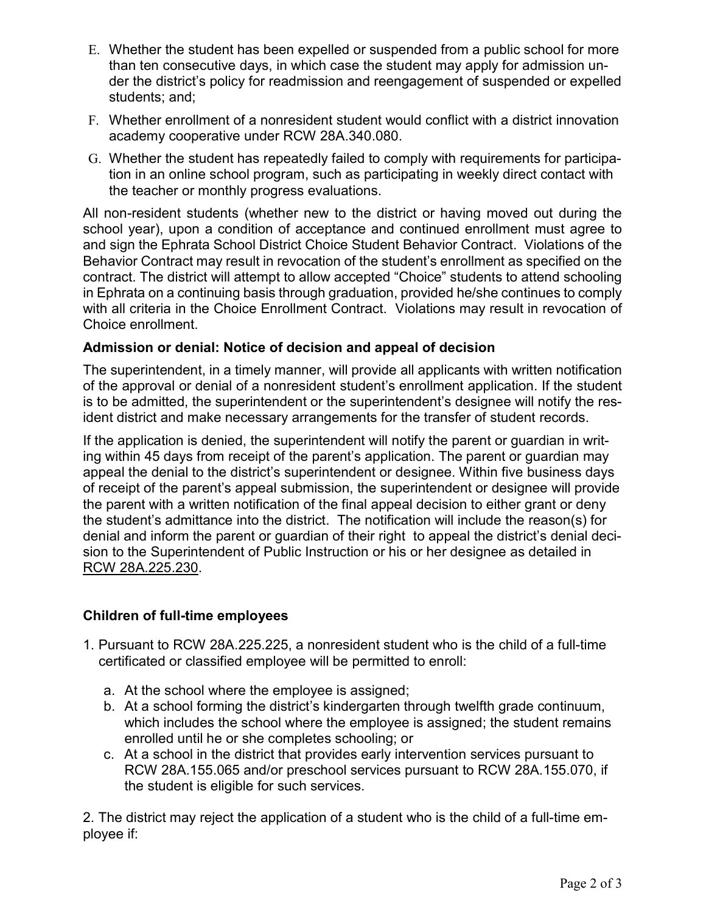- E. Whether the student has been expelled or suspended from a public school for more than ten consecutive days, in which case the student may apply for admission under the district's policy for readmission and reengagement of suspended or expelled students; and;
- F. Whether enrollment of a nonresident student would conflict with a district innovation academy cooperative under RCW 28A.340.080.
- G. Whether the student has repeatedly failed to comply with requirements for participation in an online school program, such as participating in weekly direct contact with the teacher or monthly progress evaluations.

All non-resident students (whether new to the district or having moved out during the school year), upon a condition of acceptance and continued enrollment must agree to and sign the Ephrata School District Choice Student Behavior Contract. Violations of the Behavior Contract may result in revocation of the student's enrollment as specified on the contract. The district will attempt to allow accepted "Choice" students to attend schooling in Ephrata on a continuing basis through graduation, provided he/she continues to comply with all criteria in the Choice Enrollment Contract. Violations may result in revocation of Choice enrollment.

### Admission or denial: Notice of decision and appeal of decision

The superintendent, in a timely manner, will provide all applicants with written notification of the approval or denial of a nonresident student's enrollment application. If the student is to be admitted, the superintendent or the superintendent's designee will notify the resident district and make necessary arrangements for the transfer of student records.

If the application is denied, the superintendent will notify the parent or guardian in writing within 45 days from receipt of the parent's application. The parent or guardian may appeal the denial to the district's superintendent or designee. Within five business days of receipt of the parent's appeal submission, the superintendent or designee will provide the parent with a written notification of the final appeal decision to either grant or deny the student's admittance into the district. The notification will include the reason(s) for denial and inform the parent or guardian of their right to appeal the district's denial decision to the Superintendent of Public Instruction or his or her designee as detailed in RCW 28A.225.230.

#### Children of full-time employees

- 1. Pursuant to RCW 28A.225.225, a nonresident student who is the child of a full-time certificated or classified employee will be permitted to enroll:
	- a. At the school where the employee is assigned;
	- b. At a school forming the district's kindergarten through twelfth grade continuum, which includes the school where the employee is assigned; the student remains enrolled until he or she completes schooling; or
	- c. At a school in the district that provides early intervention services pursuant to RCW 28A.155.065 and/or preschool services pursuant to RCW 28A.155.070, if the student is eligible for such services.

2. The district may reject the application of a student who is the child of a full-time employee if: